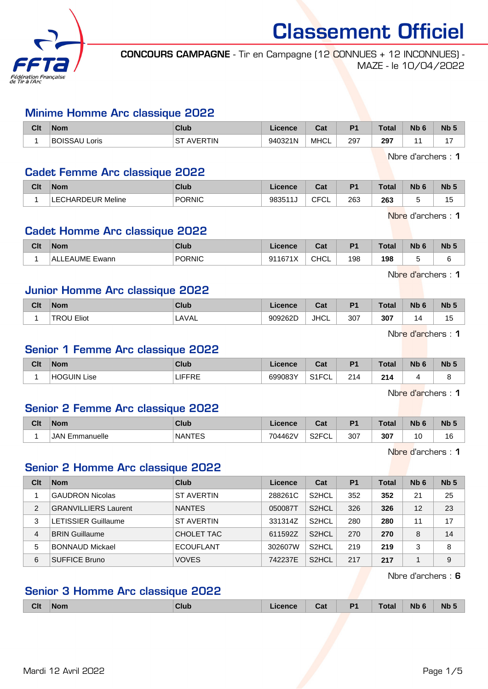

CONCOURS CAMPAGNE - Tir en Campagne (12 CONNUES + 12 INCONNUES) - MAZE - le 10/04/2022

### Minime Homme Arc classique 2022

| Clt | <b>Nom</b>              | Club           | Licence | <b>Date</b><br>ual | P <sub>1</sub> | <b>Total</b> | <b>Nb</b> | Nb <sub>5</sub> |
|-----|-------------------------|----------------|---------|--------------------|----------------|--------------|-----------|-----------------|
|     | <b>BOISSAU</b><br>Loris | AVERTIN<br>⊣S⊤ | 940321N | MHCL               | 297<br>$\sim$  | 297          |           | . –             |

Nbre d'archers : 1

### Cadet Femme Arc classique 2022

| Clt | <b>Nom</b>           | Club   | <b>licence</b> | $\sim$<br>ual                   | P <sub>f</sub> | Total | <b>NIL</b><br>. IW | N <sub>b</sub> |
|-----|----------------------|--------|----------------|---------------------------------|----------------|-------|--------------------|----------------|
|     | Meline<br>LECHARDEUR | PORNIC | 98351<br>. .   | $\sim$ $\sim$<br>. .<br>◡<br>◡∟ | 263            | 263   | -<br>۰.            | . .<br>ر .     |

Nbre d'archers : 1

# Cadet Homme Arc classique 2022

| Clt | <b>Nom</b>     | Club   | Licence | ∩^1<br>val  | D <sub>4</sub> | Total | Nb 6 | <b>N<sub>b</sub></b> |
|-----|----------------|--------|---------|-------------|----------------|-------|------|----------------------|
|     | ALLEAUME Ewann | PORNIC | 911671X | <b>CHCL</b> | 198            | 198   |      |                      |

Nbre d'archers : 1

### Junior Homme Arc classique 2022

| Clt | <b>Nom</b>                 | Club   | icence  | $R_{\rm{eff}}$<br>udl | D <sub>4</sub> | Total      | Nb | Nb <sub>5</sub>      |
|-----|----------------------------|--------|---------|-----------------------|----------------|------------|----|----------------------|
|     | Eliot<br>∍ים⊤<br>м<br>$ -$ | ' AVAL | 909262D | <b>JHCL</b><br>____   | 307            | 307<br>- - |    | . .<br>ں ا<br>$\sim$ |

Nbre d'archers : 1

### Senior 1 Femme Arc classique 2022

| Clt | <b>Nom</b>               | Club | Licence | 2.4<br>uai           | D <sub>1</sub> | $T0$ tal<br>∣ ∪ldi | <b>Nb</b> | <b>N<sub>b</sub></b> |
|-----|--------------------------|------|---------|----------------------|----------------|--------------------|-----------|----------------------|
|     | <b>HOGUIN Li</b><br>∟ise | 心    | 699083Y | 0.4501<br>◡∟<br>11 ب | 214            | 24<br>14<br>       |           |                      |

Nbre d'archers : 1

## Senior 2 Femme Arc classique 2022

| Clt | <b>Nom</b>            | Club          | Licence | ่ ี่ก+<br>ua             | D <sub>4</sub> | <b>Total</b> | Nb | <b>N<sub>b</sub></b> |
|-----|-----------------------|---------------|---------|--------------------------|----------------|--------------|----|----------------------|
|     | <b>JAN Emmanuelle</b> | <b>NANTES</b> | 704462V | S <sub>2</sub> FCL<br>◡∟ | 307            | 307          | 0  | 16                   |

Nbre d'archers : 1

## Senior 2 Homme Arc classique 2022

| Clt | <b>Nom</b>                  | Club              | Licence | Cat                | P <sub>1</sub> | <b>Total</b> | N <sub>b</sub> 6 | Nb <sub>5</sub> |
|-----|-----------------------------|-------------------|---------|--------------------|----------------|--------------|------------------|-----------------|
|     | <b>GAUDRON Nicolas</b>      | <b>ST AVERTIN</b> | 288261C | S <sub>2</sub> HCL | 352            | 352          | 21               | 25              |
| 2   | <b>GRANVILLIERS Laurent</b> | <b>NANTES</b>     | 050087T | S <sub>2</sub> HCL | 326            | 326          | 12               | 23              |
| 3   | <b>LETISSIER Guillaume</b>  | ST AVERTIN        | 331314Z | S <sub>2</sub> HCL | 280            | 280          | 11               | 17              |
| 4   | <b>BRIN Guillaume</b>       | CHOLET TAC        | 611592Z | S <sub>2</sub> HCL | 270            | 270          | 8                | 14              |
| 5   | <b>BONNAUD Mickael</b>      | <b>ECOUFLANT</b>  | 302607W | S <sub>2</sub> HCL | 219            | 219          | 3                | 8               |
| 6   | <b>SUFFICE Bruno</b>        | <b>VOVES</b>      | 742237E | S <sub>2</sub> HCL | 217            | 217          |                  | 9               |

Nbre d'archers : 6

# Senior 3 Homme Arc classique 2022

|  | <b>Clt</b> | Nom | <b>Club</b> | icence<br>_____ | Cat | D <sub>4</sub><br>. . | <b>Total</b> | Nŀ<br>. | Nb |
|--|------------|-----|-------------|-----------------|-----|-----------------------|--------------|---------|----|
|--|------------|-----|-------------|-----------------|-----|-----------------------|--------------|---------|----|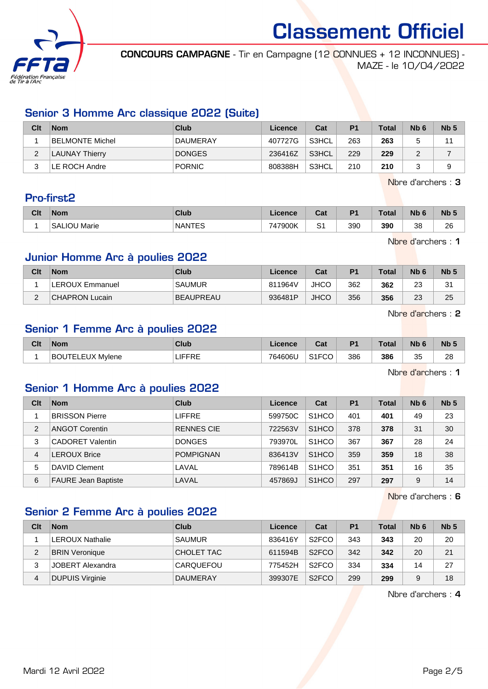

CONCOURS CAMPAGNE - Tir en Campagne (12 CONNUES + 12 INCONNUES) - MAZE - le 10/04/2022

# Senior 3 Homme Arc classique 2022 (Suite)

| Clt    | <b>Nom</b>      | Club            | Licence | Cat   | P <sub>1</sub> | <b>Total</b> | Nb <sub>6</sub> | Nb <sub>5</sub> |
|--------|-----------------|-----------------|---------|-------|----------------|--------------|-----------------|-----------------|
|        | BELMONTE Michel | <b>DAUMERAY</b> | 407727G | S3HCL | 263            | 263          |                 | 44              |
| ∠      | LAUNAY Thierry  | <b>DONGES</b>   | 236416Z | S3HCL | 229            | 229          |                 |                 |
| ົ<br>J | LE ROCH Andre   | <b>PORNIC</b>   | 808388H | S3HCL | 210            | 210          |                 | a               |

Nbre d'archers : 3

## Pro-first2

| Clt | <b>Nom</b>   | <b>Club</b>   | Licence | <b>Total</b><br>uai | D <sub>1</sub> | <b>Total</b> | <b>Nb</b> | <b>Nb</b> |
|-----|--------------|---------------|---------|---------------------|----------------|--------------|-----------|-----------|
|     | SALIOU Marie | <b>NANTES</b> | 747900K | r.<br>ັ             | 390            | 390          | 38        | 26        |

Nbre d'archers : 1

## Junior Homme Arc à poulies 2022

| Clt | <b>Nom</b>            | Club             | Licence | Cat         | P <sub>1</sub> | <b>Total</b> | N <sub>b</sub> 6 | <b>Nb</b> |
|-----|-----------------------|------------------|---------|-------------|----------------|--------------|------------------|-----------|
|     | LEROUX Emmanuel       | <b>SAUMUR</b>    | 811964V | <b>JHCO</b> | 362            | 362          | nn<br>ںے         | 31        |
| -   | <b>CHAPRON Lucain</b> | <b>BEAUPREAU</b> | 936481P | <b>JHCO</b> | 356            | 356          | $\Omega$<br>23   | 25        |

Nbre d'archers : 2

Nbre d'archers : 1

# Senior 1 Femme Arc à poulies 2022

| Clt | <b>Nom</b>   | Club     | iranra<br>기내 | יפ<br>uai | P <sub>1</sub> | Total | Nb       | <b>Nb</b> |
|-----|--------------|----------|--------------|-----------|----------------|-------|----------|-----------|
|     | B)<br>Mvlene | ---<br>. | 764606L      | 0.150     | 386            | 386   | つら<br>ູບ | ററ<br>zo  |

Senior 1 Homme Arc à poulies 2022

| Clt            | <b>Nom</b>                 | Club              | Licence | Cat                | P <sub>1</sub> | <b>Total</b> | N <sub>b</sub> 6 | Nb <sub>5</sub> |
|----------------|----------------------------|-------------------|---------|--------------------|----------------|--------------|------------------|-----------------|
|                | <b>BRISSON Pierre</b>      | <b>LIFFRE</b>     | 599750C | S <sub>1</sub> HCO | 401            | 401          | 49               | 23              |
| $\overline{2}$ | <b>ANGOT Corentin</b>      | <b>RENNES CIE</b> | 722563V | S <sub>1</sub> HCO | 378            | 378          | 31               | 30              |
| 3              | <b>CADORET Valentin</b>    | <b>DONGES</b>     | 793970L | S <sub>1</sub> HCO | 367            | 367          | 28               | 24              |
| 4              | <b>LEROUX Brice</b>        | <b>POMPIGNAN</b>  | 836413V | S <sub>1</sub> HCO | 359            | 359          | 18               | 38              |
| 5              | DAVID Clement              | LAVAL             | 789614B | S <sub>1</sub> HCO | 351            | 351          | 16               | 35              |
| 6              | <b>FAURE Jean Baptiste</b> | LAVAL             | 457869J | S <sub>1</sub> HCO | 297            | 297          | 9                | 14              |

Nbre d'archers : 6

# Senior 2 Femme Arc à poulies 2022

| Clt | <b>Nom</b>             | Club            | Licence | Cat                | P <sub>1</sub> | <b>Total</b> | N <sub>b</sub> 6 | Nb <sub>5</sub> |
|-----|------------------------|-----------------|---------|--------------------|----------------|--------------|------------------|-----------------|
|     | <b>LEROUX Nathalie</b> | <b>SAUMUR</b>   | 836416Y | S <sub>2</sub> FCO | 343            | 343          | 20               | 20              |
| 2   | <b>BRIN Veronique</b>  | CHOLET TAC      | 611594B | S <sub>2</sub> FCO | 342            | 342          | 20               | 21              |
| 3   | JOBERT Alexandra       | CARQUEFOU       | 775452H | S <sub>2</sub> FCO | 334            | 334          | 14               | 27              |
| 4   | <b>DUPUIS Virginie</b> | <b>DAUMERAY</b> | 399307E | S <sub>2</sub> FCO | 299            | 299          | 9                | 18              |

Nbre d'archers : 4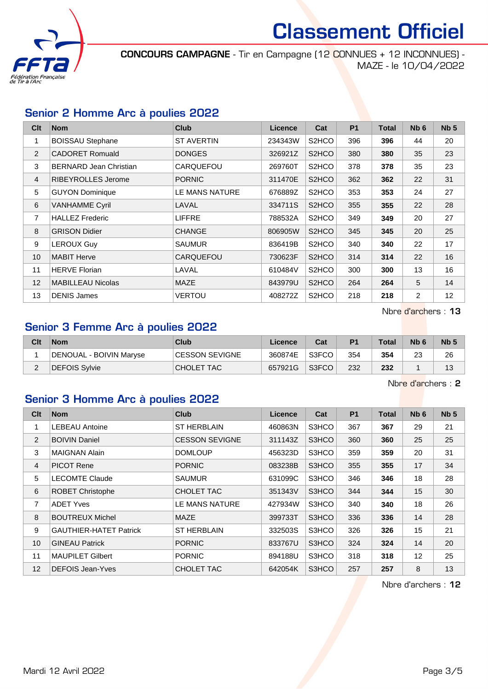

CONCOURS CAMPAGNE - Tir en Campagne (12 CONNUES + 12 INCONNUES) - MAZE - le 10/04/2022

## Senior 2 Homme Arc à poulies 2022

| Clt | <b>Nom</b>                    | <b>Club</b>       | Licence | Cat                            | <b>P1</b> | <b>Total</b> | Nb <sub>6</sub> | Nb <sub>5</sub> |
|-----|-------------------------------|-------------------|---------|--------------------------------|-----------|--------------|-----------------|-----------------|
| 1   | <b>BOISSAU Stephane</b>       | <b>ST AVERTIN</b> | 234343W | S <sub>2</sub> HCO             | 396       | 396          | 44              | 20              |
| 2   | <b>CADORET Romuald</b>        | <b>DONGES</b>     | 326921Z | S <sub>2</sub> HCO             | 380       | 380          | 35              | 23              |
| 3   | <b>BERNARD Jean Christian</b> | CARQUEFOU         | 269760T | S <sub>2</sub> HCO             | 378       | 378          | 35              | 23              |
| 4   | <b>RIBEYROLLES Jerome</b>     | <b>PORNIC</b>     | 311470E | S <sub>2</sub> HCO             | 362       | 362          | 22              | 31              |
| 5   | <b>GUYON Dominique</b>        | LE MANS NATURE    | 676889Z | S <sub>2</sub> HCO             | 353       | 353          | 24              | 27              |
| 6   | <b>VANHAMME Cyril</b>         | LAVAL             | 334711S | S <sub>2</sub> HCO             | 355       | 355          | 22              | 28              |
| 7   | <b>HALLEZ Frederic</b>        | <b>LIFFRE</b>     | 788532A | S <sub>2</sub> H <sub>CO</sub> | 349       | 349          | 20              | 27              |
| 8   | <b>GRISON Didier</b>          | <b>CHANGE</b>     | 806905W | S <sub>2</sub> HCO             | 345       | 345          | 20              | 25              |
| 9   | <b>LEROUX Guy</b>             | <b>SAUMUR</b>     | 836419B | S <sub>2</sub> H <sub>CO</sub> | 340       | 340          | 22              | 17              |
| 10  | <b>MABIT Herve</b>            | <b>CARQUEFOU</b>  | 730623F | S <sub>2</sub> HCO             | 314       | 314          | 22              | 16              |
| 11  | <b>HERVE Florian</b>          | LAVAL             | 610484V | S <sub>2</sub> HCO             | 300       | 300          | 13              | 16              |
| 12  | <b>MABILLEAU Nicolas</b>      | <b>MAZE</b>       | 843979U | S <sub>2</sub> HCO             | 264       | 264          | 5               | 14              |
| 13  | <b>DENIS James</b>            | VERTOU            | 408272Z | S <sub>2</sub> HCO             | 218       | 218          | 2               | 12              |

Nbre d'archers : 13

# Senior 3 Femme Arc à poulies 2022

| Clt | <b>Nom</b>              | Club                  | Licence | Cat   | P <sub>1</sub> | <b>Total</b> | N <sub>b</sub> 6 | N <sub>b</sub> <sub>5</sub> |
|-----|-------------------------|-----------------------|---------|-------|----------------|--------------|------------------|-----------------------------|
|     | DENOUAL - BOIVIN Maryse | <b>CESSON SEVIGNE</b> | 360874E | S3FCO | 354            | 354          | 23               | 26                          |
| -   | DEFOIS Sylvie           | <b>CHOLET TAC</b>     | 657921G | S3FCO | 232            | 232          |                  |                             |

Nbre d'archers : 2

## Senior 3 Homme Arc à poulies 2022

| Clt            | <b>Nom</b>                    | <b>Club</b>           | <b>Licence</b> | Cat   | <b>P1</b> | <b>Total</b> | N <sub>b</sub> 6 | Nb <sub>5</sub> |
|----------------|-------------------------------|-----------------------|----------------|-------|-----------|--------------|------------------|-----------------|
| 1              | <b>LEBEAU Antoine</b>         | <b>ST HERBLAIN</b>    | 460863N        | S3HCO | 367       | 367          | 29               | 21              |
| 2              | <b>BOIVIN Daniel</b>          | <b>CESSON SEVIGNE</b> | 311143Z        | S3HCO | 360       | 360          | 25               | 25              |
| 3              | <b>MAIGNAN Alain</b>          | <b>DOMLOUP</b>        | 456323D        | S3HCO | 359       | 359          | 20               | 31              |
| $\overline{4}$ | <b>PICOT Rene</b>             | <b>PORNIC</b>         | 083238B        | S3HCO | 355       | 355          | 17               | 34              |
| 5              | <b>LECOMTE Claude</b>         | <b>SAUMUR</b>         | 631099C        | S3HCO | 346       | 346          | 18               | 28              |
| 6              | <b>ROBET Christophe</b>       | CHOLET TAC            | 351343V        | S3HCO | 344       | 344          | 15               | 30              |
| 7              | <b>ADET Yves</b>              | LE MANS NATURE        | 427934W        | S3HCO | 340       | 340          | 18               | 26              |
| 8              | <b>BOUTREUX Michel</b>        | <b>MAZE</b>           | 399733T        | S3HCO | 336       | 336          | 14               | 28              |
| 9              | <b>GAUTHIER-HATET Patrick</b> | <b>ST HERBLAIN</b>    | 332503S        | S3HCO | 326       | 326          | 15               | 21              |
| 10             | <b>GINEAU Patrick</b>         | <b>PORNIC</b>         | 833767U        | S3HCO | 324       | 324          | 14               | 20              |
| 11             | <b>MAUPILET Gilbert</b>       | <b>PORNIC</b>         | 894188U        | S3HCO | 318       | 318          | 12               | 25              |
| 12             | DEFOIS Jean-Yves              | CHOLET TAC            | 642054K        | S3HCO | 257       | 257          | 8                | 13              |

Nbre d'archers : 12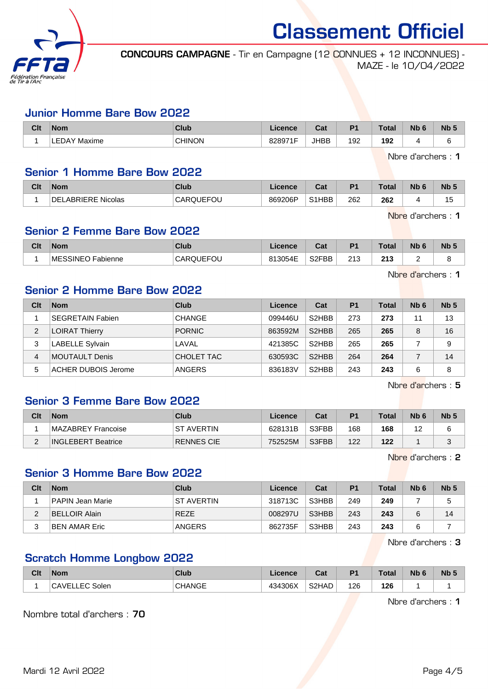

CONCOURS CAMPAGNE - Tir en Campagne (12 CONNUES + 12 INCONNUES) - MAZE - le 10/04/2022

#### Junior Homme Bare Bow 2022

| Clt | <b>Nom</b>      | Club          | Licence | $\sim$<br>⊍a | D <sub>1</sub> | Total | <b>N<sub>b</sub></b> | N <sub>b</sub> |
|-----|-----------------|---------------|---------|--------------|----------------|-------|----------------------|----------------|
|     | Maxime<br>LEDAY | <b>CHINON</b> | 828971F | <b>JHBB</b>  | 192            | 192   |                      |                |

Nbre d'archers : 1

### Senior 1 Homme Bare Bow 2022

| Clt | <b>Nom</b>             | <b>Club</b> | icence  | $R_{\rm{eff}}$<br>⊍aι | $P^*$ | Total | . IW | Nb.        |
|-----|------------------------|-------------|---------|-----------------------|-------|-------|------|------------|
|     | ABRIERE Nicolas<br>DEI | CARQUEFOU   | 869206P | S1HBB                 | 262   | 262   | ▵    | . .<br>ر . |

Nbre d'archers : 1

Nbre d'archers : 1

# Senior 2 Femme Bare Bow 2022

| Clt | <b>Nom</b>                   | Club      | Licence | ∩^∙<br>val         | D.  | Total      | Nb | <b>Nb</b> |
|-----|------------------------------|-----------|---------|--------------------|-----|------------|----|-----------|
|     | <b>IMESSINEO</b><br>Fabienne | CARQUEFOU | 813054E | S <sub>2</sub> FBB | 213 | つイウ<br>213 | -  |           |

Senior 2 Homme Bare Bow 2022

| Clt | <b>Nom</b>                 | Club          | Licence | Cat                | P <sub>1</sub> | <b>Total</b> | N <sub>b</sub> 6 | Nb <sub>5</sub> |
|-----|----------------------------|---------------|---------|--------------------|----------------|--------------|------------------|-----------------|
|     | <b>SEGRETAIN Fabien</b>    | <b>CHANGE</b> | 099446U | S <sub>2</sub> HBB | 273            | 273          | 11               | 13              |
| 2   | <b>LOIRAT Thierry</b>      | <b>PORNIC</b> | 863592M | S <sub>2</sub> HBB | 265            | 265          | 8                | 16              |
| 3   | LABELLE Sylvain            | LAVAL         | 421385C | S <sub>2</sub> HBB | 265            | 265          |                  | 9               |
| 4   | <b>MOUTAULT Denis</b>      | CHOLET TAC    | 630593C | S <sub>2</sub> HBB | 264            | 264          |                  | 14              |
| 5   | <b>ACHER DUBOIS Jerome</b> | ANGERS        | 836183V | S <sub>2</sub> HBB | 243            | 243          | 6                | 8               |

Nbre d'archers : 5

### Senior 3 Femme Bare Bow 2022

| Clt    | <b>Nom</b>                | Club              | Licence | Cat   | P1  | <b>Total</b> | N <sub>b</sub> 6 | Nb <sub>5</sub> |
|--------|---------------------------|-------------------|---------|-------|-----|--------------|------------------|-----------------|
|        | MAZABREY Francoise        | IST AVERTIN       | 628131B | S3FBB | 168 | 168          | $\sim$<br>╺      |                 |
| $\sim$ | <b>INGLEBERT Beatrice</b> | <b>RENNES CIE</b> | 752525M | S3FBB | 122 | 122          |                  |                 |

Nbre d'archers : 2

# Senior 3 Homme Bare Bow 2022

| Clt | <b>Nom</b>           | Club              | Licence | Cat   | P <sub>1</sub> | <b>Total</b> | N <sub>b</sub> 6 | Nb <sub>5</sub> |
|-----|----------------------|-------------------|---------|-------|----------------|--------------|------------------|-----------------|
|     | PAPIN Jean Marie     | <b>ST AVERTIN</b> | 318713C | S3HBB | 249            | 249          |                  |                 |
|     | <b>BELLOIR Alain</b> | <b>REZE</b>       | 008297U | S3HBB | 243            | 243          |                  | 14              |
|     | BEN AMAR Eric        | <b>ANGERS</b>     | 862735F | S3HBB | 243            | 243          |                  |                 |

Nbre d'archers : 3

## Scratch Homme Longbow 2022

| Clt | ∣Nom                      | <b>Club</b>   | ∟icence | <b>Cost</b><br>ua | D <sub>1</sub> | <b>Total</b> | Nb<br>$\sim$ | <b>Nb</b> |
|-----|---------------------------|---------------|---------|-------------------|----------------|--------------|--------------|-----------|
|     | <b>CAVEI</b><br>_EC Solen | <b>CHANGE</b> | 434306X | S2HAD             | 126<br>__      | 126          |              |           |

Nbre d'archers : 1

Nombre total d'archers : 70